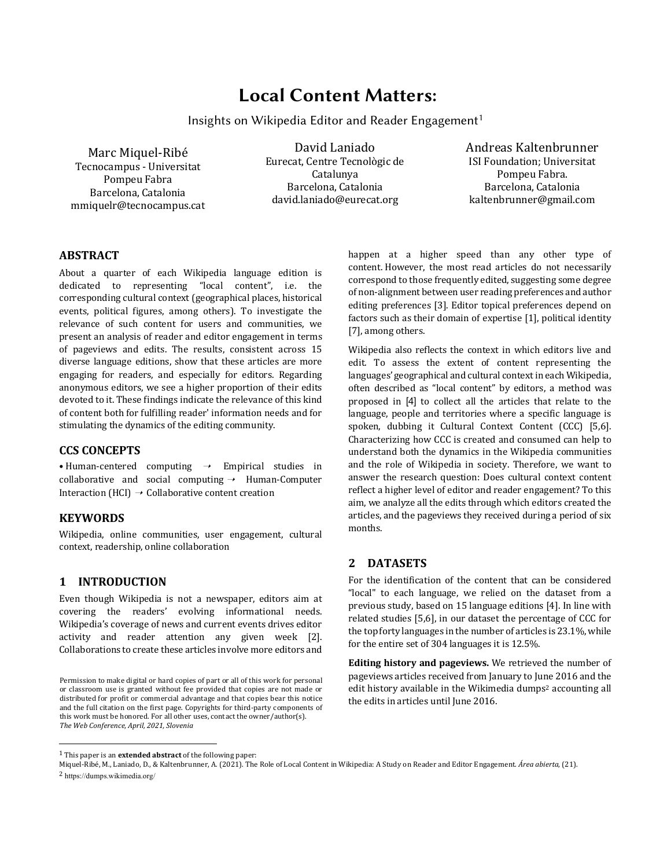# Local Content Matters:

Insights on Wikipedia Editor and Reader Engagement<sup>1</sup>

Marc Miquel-Ribé Tecnocampus - Universitat Pompeu Fabra Barcelona, Catalonia mmiquelr@tecnocampus.cat

David Laniado Eurecat, Centre Tecnològic de Catalunya Barcelona, Catalonia david.laniado@eurecat.org

Andreas Kaltenbrunner ISI Foundation: Universitat Pompeu Fabra. Barcelona, Catalonia kaltenbrunner@gmail.com

## **ABSTRACT**

About a quarter of each Wikipedia language edition is dedicated to representing "local content", i.e. the corresponding cultural context (geographical places, historical events, political figures, among others). To investigate the relevance of such content for users and communities, we present an analysis of reader and editor engagement in terms of pageviews and edits. The results, consistent across 15 diverse language editions, show that these articles are more engaging for readers, and especially for editors. Regarding anonymous editors, we see a higher proportion of their edits devoted to it. These findings indicate the relevance of this kind of content both for fulfilling reader' information needs and for stimulating the dynamics of the editing community.

#### **CCS CONCEPTS**

• Human-centered computing  $\rightarrow$  Empirical studies in collaborative and social computing  $\rightarrow$  Human-Computer Interaction (HCI)  $\rightarrow$  Collaborative content creation

## **KEYWORDS**

Wikipedia, online communities, user engagement, cultural context, readership, online collaboration

## **1 INTRODUCTION**

Even though Wikipedia is not a newspaper, editors aim at covering the readers' evolving informational needs. Wikipedia's coverage of news and current events drives editor activity and reader attention any given week [2]. Collaborations to create these articles involve more editors and

happen at a higher speed than any other type of content. However, the most read articles do not necessarily correspond to those frequently edited, suggesting some degree of non-alignment between user reading preferences and author editing preferences [3]. Editor topical preferences depend on factors such as their domain of expertise [1], political identity [7], among others.

Wikipedia also reflects the context in which editors live and edit. To assess the extent of content representing the languages' geographical and cultural context in each Wikipedia, often described as "local content" by editors, a method was proposed in [4] to collect all the articles that relate to the language, people and territories where a specific language is spoken, dubbing it Cultural Context Content (CCC) [5,6]. Characterizing how CCC is created and consumed can help to understand both the dynamics in the Wikipedia communities and the role of Wikipedia in society. Therefore, we want to answer the research question: Does cultural context content reflect a higher level of editor and reader engagement? To this aim, we analyze all the edits through which editors created the articles, and the pageviews they received during a period of six months.

## **2 DATASETS**

For the identification of the content that can be considered "local" to each language, we relied on the dataset from a previous study, based on 15 language editions [4]. In line with related studies [5,6], in our dataset the percentage of CCC for the top forty languages in the number of articles is  $23.1\%$ , while for the entire set of 304 languages it is  $12.5\%$ .

**Editing history and pageviews.** We retrieved the number of pageviews articles received from January to June 2016 and the edit history available in the Wikimedia dumps<sup>2</sup> accounting all the edits in articles until June 2016.

 

Permission to make digital or hard copies of part or all of this work for personal or classroom use is granted without fee provided that copies are not made or distributed for profit or commercial advantage and that copies bear this notice and the full citation on the first page. Copyrights for third-party components of this work must be honored. For all other uses, contact the owner/author(s). *The Web Conference, April, 2021, Slovenia*

<sup>&</sup>lt;sup>1</sup> This paper is an **extended abstract** of the following paper:

Miquel-Ribé, M., Laniado, D., & Kaltenbrunner, A. (2021). The Role of Local Content in Wikipedia: A Study on Reader and Editor Engagement. *Área abierta*, (21). 2 https://dumps.wikimedia.org/